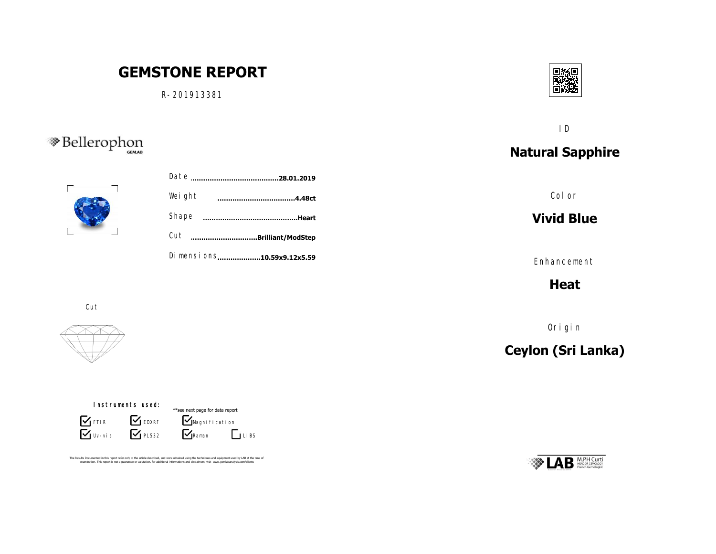# **GEMSTONE REPORT**

R-201913381





| Weight                      | .4.48ct |
|-----------------------------|---------|
| Shape                       | Heart   |
| Cut<br>Brilliant/ModStep    |         |
| Di mensi ons10.59x9.12x5.59 |         |
|                             |         |

Cut



#### Instruments used:

 $\sum$  Uv-vis **S** FTIR **S** EDXRF  $\mathbf{V}$  PL532



The Results Documented in this report refer only to the article described, and were obtained using the techniques and equipment used by LAB at the time of<br>examination. This report is not a quarantee or valutation. for addi



ID

# **Natural Sapphire**

Color

### **Vivid Blue**

Enhancement

**Heat**

Origin

# **Ceylon (Sri Lanka)**